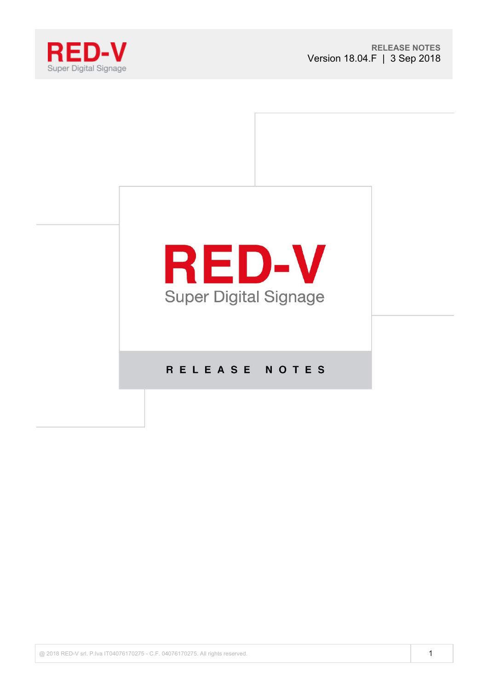



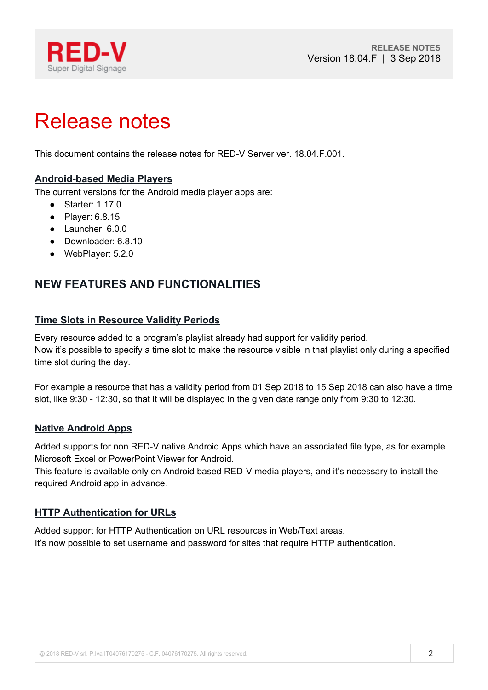

# Release notes

This document contains the release notes for RED-V Server ver. 18.04.F.001.

# **Android-based Media Players**

The current versions for the Android media player apps are:

- Starter: 1.17.0
- Player: 6.8.15
- Launcher: 6.0.0
- Downloader: 6.8.10
- WebPlayer: 5.2.0

# **NEW FEATURES AND FUNCTIONALITIES**

### **Time Slots in Resource Validity Periods**

Every resource added to a program's playlist already had support for validity period. Now it's possible to specify a time slot to make the resource visible in that playlist only during a specified time slot during the day.

For example a resource that has a validity period from 01 Sep 2018 to 15 Sep 2018 can also have a time slot, like 9:30 - 12:30, so that it will be displayed in the given date range only from 9:30 to 12:30.

#### **Native Android Apps**

Added supports for non RED-V native Android Apps which have an associated file type, as for example Microsoft Excel or PowerPoint Viewer for Android.

This feature is available only on Android based RED-V media players, and it's necessary to install the required Android app in advance.

### **HTTP Authentication for URLs**

Added support for HTTP Authentication on URL resources in Web/Text areas. It's now possible to set username and password for sites that require HTTP authentication.